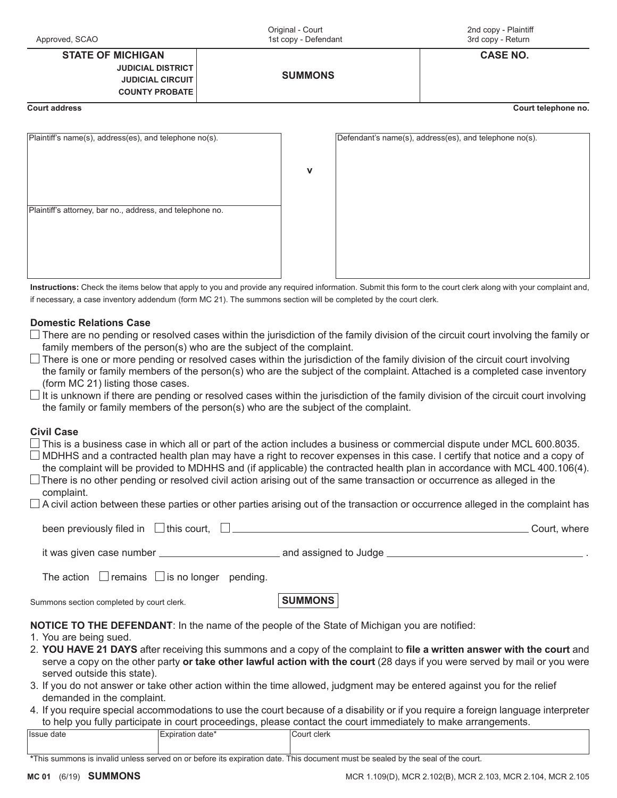| Approved, SCAO                                                                                                      | Original - Court<br>1st copy - Defendant | 2nd copy - Plaintiff<br>3rd copy - Return              |  |
|---------------------------------------------------------------------------------------------------------------------|------------------------------------------|--------------------------------------------------------|--|
| <b>STATE OF MICHIGAN</b><br><b>JUDICIAL DISTRICT</b><br><b>JUDICIAL CIRCUIT</b><br><b>COUNTY PROBATE</b>            | <b>SUMMONS</b>                           | <b>CASE NO.</b>                                        |  |
| <b>Court address</b>                                                                                                |                                          | Court telephone no.                                    |  |
| Plaintiff's name(s), address(es), and telephone no(s).<br>Plaintiff's attorney, bar no., address, and telephone no. | v                                        | Defendant's name(s), address(es), and telephone no(s). |  |

**Instructions:** Check the items below that apply to you and provide any required information. Submit this form to the court clerk along with your complaint and, if necessary, a case inventory addendum (form MC 21). The summons section will be completed by the court clerk.

## **Domestic Relations Case**

- $\Box$  There are no pending or resolved cases within the jurisdiction of the family division of the circuit court involving the family or family members of the person(s) who are the subject of the complaint.
- $\Box$  There is one or more pending or resolved cases within the jurisdiction of the family division of the circuit court involving the family or family members of the person(s) who are the subject of the complaint. Attached is a completed case inventory (form MC 21) listing those cases.
- $\Box$  It is unknown if there are pending or resolved cases within the jurisdiction of the family division of the circuit court involving the family or family members of the person(s) who are the subject of the complaint.

## **Civil Case**

- $\Box$  This is a business case in which all or part of the action includes a business or commercial dispute under MCL 600.8035.
- MDHHS and a contracted health plan may have a right to recover expenses in this case. I certify that notice and a copy of the complaint will be provided to MDHHS and (if applicable) the contracted health plan in accordance with MCL 400.106(4).
- complaint. There is no other pending or resolved civil action arising out of the same transaction or occurrence as alleged in the
- $\Box$  A civil action between these parties or other parties arising out of the transaction or occurrence alleged in the complaint has

| been previously filed in $\Box$ this court, |                         | Court, where |
|---------------------------------------------|-------------------------|--------------|
| it was given case number                    | and assigned to Judge . |              |

The action  $\Box$  remains  $\Box$  is no longer pending.

Summons section completed by court clerk. **SUMMONS** 

**NOTICE TO THE DEFENDANT**: In the name of the people of the State of Michigan you are notified:

- 1. You are being sued.
- 2. **YOU HAVE 21 DAYS** after receiving this summons and a copy of the complaint to **file a written answer with the court** and serve a copy on the other party **or take other lawful action with the court** (28 days if you were served by mail or you were served outside this state).
- 3. If you do not answer or take other action within the time allowed, judgment may be entered against you for the relief demanded in the complaint.
- 4. If you require special accommodations to use the court because of a disability or if you require a foreign language interpreter to help you fully participate in court proceedings, please contact the court immediately to make arrangements.

| Ilssue date | expiration<br>ı date | Court clerk |
|-------------|----------------------|-------------|
|             |                      |             |

**\***This summons is invalid unless served on or before its expiration date. This document must be sealed by the seal of the court.